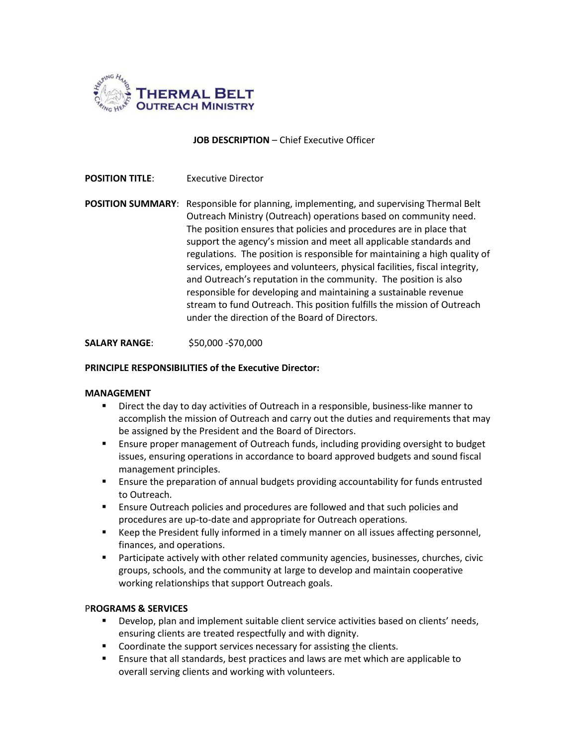

## **JOB DESCRIPTION** – Chief Executive Officer

## **POSITION TITLE:** Executive Director

**POSITION SUMMARY**: Responsible for planning, implementing, and supervising Thermal Belt Outreach Ministry (Outreach) operations based on community need. The position ensures that policies and procedures are in place that support the agency's mission and meet all applicable standards and regulations. The position is responsible for maintaining a high quality of services, employees and volunteers, physical facilities, fiscal integrity, and Outreach's reputation in the community. The position is also responsible for developing and maintaining a sustainable revenue stream to fund Outreach. This position fulfills the mission of Outreach under the direction of the Board of Directors.

**SALARY RANGE**: \$50,000 -\$70,000

### **PRINCIPLE RESPONSIBILITIES of the Executive Director:**

#### **MANAGEMENT**

- Direct the day to day activities of Outreach in a responsible, business-like manner to accomplish the mission of Outreach and carry out the duties and requirements that may be assigned by the President and the Board of Directors.
- Ensure proper management of Outreach funds, including providing oversight to budget issues, ensuring operations in accordance to board approved budgets and sound fiscal management principles.
- **E** Ensure the preparation of annual budgets providing accountability for funds entrusted to Outreach.
- **Ensure Outreach policies and procedures are followed and that such policies and** procedures are up-to-date and appropriate for Outreach operations.
- **EXECT** Keep the President fully informed in a timely manner on all issues affecting personnel, finances, and operations.
- Participate actively with other related community agencies, businesses, churches, civic groups, schools, and the community at large to develop and maintain cooperative working relationships that support Outreach goals.

#### P**ROGRAMS & SERVICES**

- **Develop, plan and implement suitable client service activities based on clients' needs,** ensuring clients are treated respectfully and with dignity.
- Coordinate the support services necessary for assisting the clients.
- Ensure that all standards, best practices and laws are met which are applicable to overall serving clients and working with volunteers.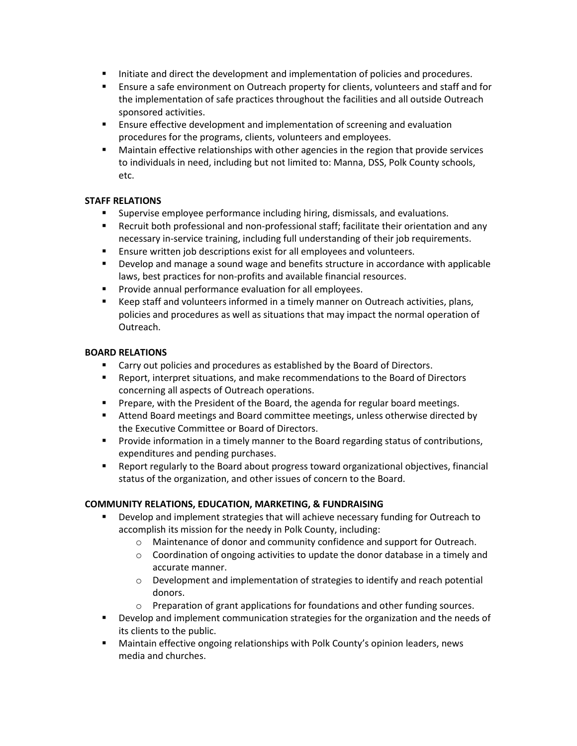- Initiate and direct the development and implementation of policies and procedures.
- **Ensure a safe environment on Outreach property for clients, volunteers and staff and for** the implementation of safe practices throughout the facilities and all outside Outreach sponsored activities.
- **Ensure effective development and implementation of screening and evaluation** procedures for the programs, clients, volunteers and employees.
- Maintain effective relationships with other agencies in the region that provide services to individuals in need, including but not limited to: Manna, DSS, Polk County schools, etc.

# **STAFF RELATIONS**

- **Supervise employee performance including hiring, dismissals, and evaluations.**
- Recruit both professional and non-professional staff; facilitate their orientation and any necessary in-service training, including full understanding of their job requirements.
- Ensure written job descriptions exist for all employees and volunteers.
- Develop and manage a sound wage and benefits structure in accordance with applicable laws, best practices for non-profits and available financial resources.
- **Provide annual performance evaluation for all employees.**
- Keep staff and volunteers informed in a timely manner on Outreach activities, plans, policies and procedures as well as situations that may impact the normal operation of Outreach.

## **BOARD RELATIONS**

- **EXP** Carry out policies and procedures as established by the Board of Directors.
- **Report, interpret situations, and make recommendations to the Board of Directors** concerning all aspects of Outreach operations.
- **Prepare, with the President of the Board, the agenda for regular board meetings.**
- Attend Board meetings and Board committee meetings, unless otherwise directed by the Executive Committee or Board of Directors.
- **Provide information in a timely manner to the Board regarding status of contributions,** expenditures and pending purchases.
- Report regularly to the Board about progress toward organizational objectives, financial status of the organization, and other issues of concern to the Board.

# **COMMUNITY RELATIONS, EDUCATION, MARKETING, & FUNDRAISING**

- Develop and implement strategies that will achieve necessary funding for Outreach to accomplish its mission for the needy in Polk County, including:
	- $\circ$  Maintenance of donor and community confidence and support for Outreach.
	- $\circ$  Coordination of ongoing activities to update the donor database in a timely and accurate manner.
	- o Development and implementation of strategies to identify and reach potential donors.
	- o Preparation of grant applications for foundations and other funding sources.
- Develop and implement communication strategies for the organization and the needs of its clients to the public.
- Maintain effective ongoing relationships with Polk County's opinion leaders, news media and churches.